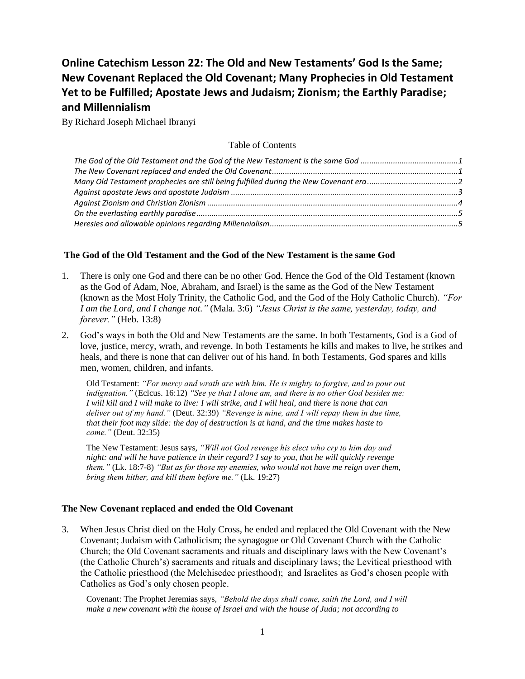# **Online Catechism Lesson 22: The Old and New Testaments' God Is the Same; New Covenant Replaced the Old Covenant; Many Prophecies in Old Testament Yet to be Fulfilled; Apostate Jews and Judaism; Zionism; the Earthly Paradise; and Millennialism**

By Richard Joseph Michael Ibranyi

## Table of Contents

# <span id="page-0-0"></span>**The God of the Old Testament and the God of the New Testament is the same God**

- 1. There is only one God and there can be no other God. Hence the God of the Old Testament (known as the God of Adam, Noe, Abraham, and Israel) is the same as the God of the New Testament (known as the Most Holy Trinity, the Catholic God, and the God of the Holy Catholic Church). *"For I am the Lord, and I change not."* (Mala. 3:6) *"Jesus Christ is the same, yesterday, today, and forever."* (Heb. 13:8)
- 2. God's ways in both the Old and New Testaments are the same. In both Testaments, God is a God of love, justice, mercy, wrath, and revenge. In both Testaments he kills and makes to live, he strikes and heals, and there is none that can deliver out of his hand. In both Testaments, God spares and kills men, women, children, and infants.

Old Testament: *"For mercy and wrath are with him. He is mighty to forgive, and to pour out indignation."* (Eclcus. 16:12) *"See ye that I alone am, and there is no other God besides me: I will kill and I will make to live: I will strike, and I will heal, and there is none that can deliver out of my hand."* (Deut. 32:39) *"Revenge is mine, and I will repay them in due time, that their foot may slide: the day of destruction is at hand, and the time makes haste to come."* (Deut. 32:35)

The New Testament: Jesus says, *"Will not God revenge his elect who cry to him day and night: and will he have patience in their regard? I say to you, that he will quickly revenge them."* (Lk. 18:7-8) *"But as for those my enemies, who would not have me reign over them, bring them hither, and kill them before me."* (Lk. 19:27)

# <span id="page-0-1"></span>**The New Covenant replaced and ended the Old Covenant**

3. When Jesus Christ died on the Holy Cross, he ended and replaced the Old Covenant with the New Covenant; Judaism with Catholicism; the synagogue or Old Covenant Church with the Catholic Church; the Old Covenant sacraments and rituals and disciplinary laws with the New Covenant's (the Catholic Church's) sacraments and rituals and disciplinary laws; the Levitical priesthood with the Catholic priesthood (the Melchisedec priesthood); and Israelites as God's chosen people with Catholics as God's only chosen people.

Covenant: The Prophet Jeremias says, *"Behold the days shall come, saith the Lord, and I will make a new covenant with the house of Israel and with the house of Juda; not according to*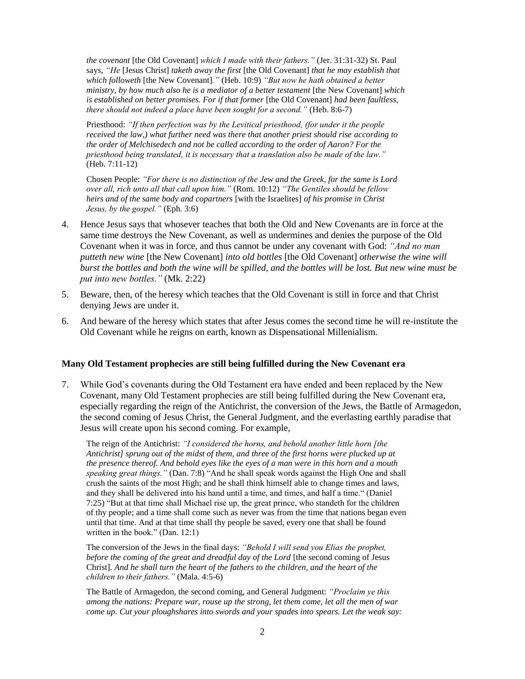*the covenant* [the Old Covenant] *which I made with their fathers."* (Jer. 31:31-32) St. Paul says, *"He* [Jesus Christ] *taketh away the first* [the Old Covenant] *that he may establish that which followeth* [the New Covenant]*."* (Heb. 10:9) *"But now he hath obtained a better ministry, by how much also he is a mediator of a better testament* [the New Covenant] *which is established on better promises. For if that former* [the Old Covenant] *had been faultless, there should not indeed a place have been sought for a second."* (Heb. 8:6-7)

Priesthood: *"If then perfection was by the Levitical priesthood, (for under it the people received the law,) what further need was there that another priest should rise according to the order of Melchisedech and not be called according to the order of Aaron? For the priesthood being translated, it is necessary that a translation also be made of the law."* (Heb. 7:11-12)

Chosen People: *"For there is no distinction of the Jew and the Greek, for the same is Lord over all, rich unto all that call upon him."* (Rom. 10:12) *"The Gentiles should be fellow heirs and of the same body and copartners* [with the Israelites] *of his promise in Christ Jesus, by the gospel."* (Eph. 3:6)

- 4. Hence Jesus says that whosever teaches that both the Old and New Covenants are in force at the same time destroys the New Covenant, as well as undermines and denies the purpose of the Old Covenant when it was in force, and thus cannot be under any covenant with God: *"And no man putteth new wine* [the New Covenant] *into old bottles* [the Old Covenant] *otherwise the wine will burst the bottles and both the wine will be spilled, and the bottles will be lost. But new wine must be put into new bottles."* (Mk. 2:22)
- 5. Beware, then, of the heresy which teaches that the Old Covenant is still in force and that Christ denying Jews are under it.
- 6. And beware of the heresy which states that after Jesus comes the second time he will re-institute the Old Covenant while he reigns on earth, known as Dispensational Millenialism.

#### <span id="page-1-0"></span>**Many Old Testament prophecies are still being fulfilled during the New Covenant era**

7. While God's covenants during the Old Testament era have ended and been replaced by the New Covenant, many Old Testament prophecies are still being fulfilled during the New Covenant era, especially regarding the reign of the Antichrist, the conversion of the Jews, the Battle of Armagedon, the second coming of Jesus Christ, the General Judgment, and the everlasting earthly paradise that Jesus will create upon his second coming. For example,

The reign of the Antichrist: *"I considered the horns, and behold another little horn [the Antichrist] sprung out of the midst of them, and three of the first horns were plucked up at the presence thereof. And behold eyes like the eyes of a man were in this horn and a mouth speaking great things."* (Dan. 7:8) "And he shall speak words against the High One and shall crush the saints of the most High; and he shall think himself able to change times and laws, and they shall be delivered into his hand until a time, and times, and half a time." (Daniel 7:25) "But at that time shall Michael rise up, the great prince, who standeth for the children of thy people; and a time shall come such as never was from the time that nations began even until that time. And at that time shall thy people be saved, every one that shall be found written in the book." (Dan. 12:1)

The conversion of the Jews in the final days: *"Behold I will send you Elias the prophet, before the coming of the great and dreadful day of the Lord* [the second coming of Jesus Christ]*. And he shall turn the heart of the fathers to the children, and the heart of the children to their fathers."* (Mala. 4:5-6)

The Battle of Armagedon, the second coming, and General Judgment: *"Proclaim ye this among the nations: Prepare war, rouse up the strong, let them come, let all the men of war come up. Cut your ploughshares into swords and your spades into spears. Let the weak say:*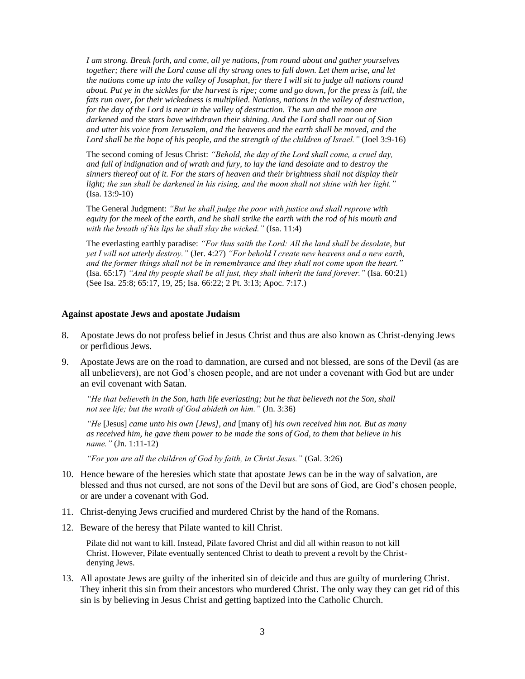*I am strong. Break forth, and come, all ye nations, from round about and gather yourselves together; there will the Lord cause all thy strong ones to fall down. Let them arise, and let the nations come up into the valley of Josaphat, for there I will sit to judge all nations round about. Put ye in the sickles for the harvest is ripe; come and go down, for the press is full, the fats run over, for their wickedness is multiplied. Nations, nations in the valley of destruction, for the day of the Lord is near in the valley of destruction. The sun and the moon are darkened and the stars have withdrawn their shining. And the Lord shall roar out of Sion and utter his voice from Jerusalem, and the heavens and the earth shall be moved, and the Lord shall be the hope of his people, and the strength of the children of Israel."* (Joel 3:9-16)

The second coming of Jesus Christ: *"Behold, the day of the Lord shall come, a cruel day, and full of indignation and of wrath and fury, to lay the land desolate and to destroy the sinners thereof out of it. For the stars of heaven and their brightness shall not display their light; the sun shall be darkened in his rising, and the moon shall not shine with her light."* (Isa. 13:9-10)

The General Judgment: *"But he shall judge the poor with justice and shall reprove with equity for the meek of the earth, and he shall strike the earth with the rod of his mouth and with the breath of his lips he shall slay the wicked."* (Isa. 11:4)

The everlasting earthly paradise: *"For thus saith the Lord: All the land shall be desolate, but yet I will not utterly destroy."* (Jer. 4:27) *"For behold I create new heavens and a new earth, and the former things shall not be in remembrance and they shall not come upon the heart."* (Isa. 65:17) *"And thy people shall be all just, they shall inherit the land forever."* (Isa. 60:21) (See Isa. 25:8; 65:17, 19, 25; Isa. 66:22; 2 Pt. 3:13; Apoc. 7:17.)

#### <span id="page-2-0"></span>**Against apostate Jews and apostate Judaism**

- 8. Apostate Jews do not profess belief in Jesus Christ and thus are also known as Christ-denying Jews or perfidious Jews.
- 9. Apostate Jews are on the road to damnation, are cursed and not blessed, are sons of the Devil (as are all unbelievers), are not God's chosen people, and are not under a covenant with God but are under an evil covenant with Satan.

*"He that believeth in the Son, hath life everlasting; but he that believeth not the Son, shall not see life; but the wrath of God abideth on him."* (Jn. 3:36)

*"He* [Jesus] *came unto his own [Jews], and* [many of] *his own received him not. But as many as received him, he gave them power to be made the sons of God, to them that believe in his name."* (Jn. 1:11-12)

*"For you are all the children of God by faith, in Christ Jesus."* (Gal. 3:26)

- 10. Hence beware of the heresies which state that apostate Jews can be in the way of salvation, are blessed and thus not cursed, are not sons of the Devil but are sons of God, are God's chosen people, or are under a covenant with God.
- 11. Christ-denying Jews crucified and murdered Christ by the hand of the Romans.
- 12. Beware of the heresy that Pilate wanted to kill Christ.

Pilate did not want to kill. Instead, Pilate favored Christ and did all within reason to not kill Christ. However, Pilate eventually sentenced Christ to death to prevent a revolt by the Christdenying Jews.

13. All apostate Jews are guilty of the inherited sin of deicide and thus are guilty of murdering Christ. They inherit this sin from their ancestors who murdered Christ. The only way they can get rid of this sin is by believing in Jesus Christ and getting baptized into the Catholic Church.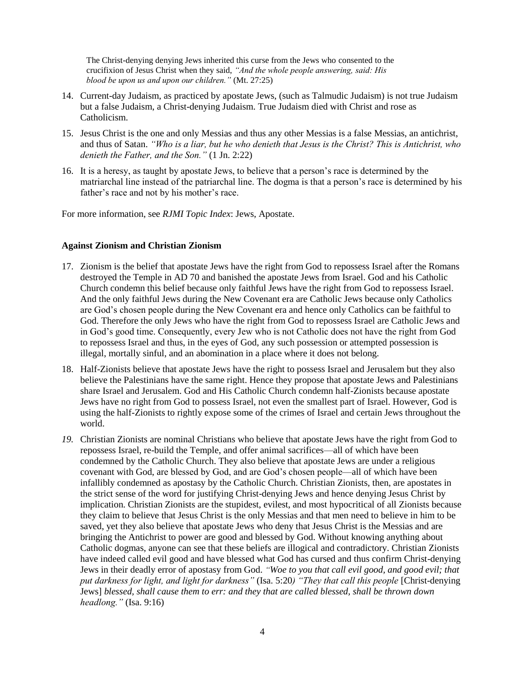The Christ-denying denying Jews inherited this curse from the Jews who consented to the crucifixion of Jesus Christ when they said, *"And the whole people answering, said: His blood be upon us and upon our children."* (Mt. 27:25)

- 14. Current-day Judaism, as practiced by apostate Jews, (such as Talmudic Judaism) is not true Judaism but a false Judaism, a Christ-denying Judaism. True Judaism died with Christ and rose as Catholicism.
- 15. Jesus Christ is the one and only Messias and thus any other Messias is a false Messias, an antichrist, and thus of Satan. *"Who is a liar, but he who denieth that Jesus is the Christ? This is Antichrist, who denieth the Father, and the Son."* (1 Jn. 2:22)
- 16. It is a heresy, as taught by apostate Jews, to believe that a person's race is determined by the matriarchal line instead of the patriarchal line. The dogma is that a person's race is determined by his father's race and not by his mother's race.

For more information, see *RJMI Topic Index*: Jews, Apostate.

### <span id="page-3-0"></span>**Against Zionism and Christian Zionism**

- 17. Zionism is the belief that apostate Jews have the right from God to repossess Israel after the Romans destroyed the Temple in AD 70 and banished the apostate Jews from Israel. God and his Catholic Church condemn this belief because only faithful Jews have the right from God to repossess Israel. And the only faithful Jews during the New Covenant era are Catholic Jews because only Catholics are God's chosen people during the New Covenant era and hence only Catholics can be faithful to God. Therefore the only Jews who have the right from God to repossess Israel are Catholic Jews and in God's good time. Consequently, every Jew who is not Catholic does not have the right from God to repossess Israel and thus, in the eyes of God, any such possession or attempted possession is illegal, mortally sinful, and an abomination in a place where it does not belong.
- 18. Half-Zionists believe that apostate Jews have the right to possess Israel and Jerusalem but they also believe the Palestinians have the same right. Hence they propose that apostate Jews and Palestinians share Israel and Jerusalem. God and His Catholic Church condemn half-Zionists because apostate Jews have no right from God to possess Israel, not even the smallest part of Israel. However, God is using the half-Zionists to rightly expose some of the crimes of Israel and certain Jews throughout the world.
- *19.* Christian Zionists are nominal Christians who believe that apostate Jews have the right from God to repossess Israel, re-build the Temple, and offer animal sacrifices—all of which have been condemned by the Catholic Church. They also believe that apostate Jews are under a religious covenant with God, are blessed by God, and are God's chosen people—all of which have been infallibly condemned as apostasy by the Catholic Church. Christian Zionists, then, are apostates in the strict sense of the word for justifying Christ-denying Jews and hence denying Jesus Christ by implication. Christian Zionists are the stupidest, evilest, and most hypocritical of all Zionists because they claim to believe that Jesus Christ is the only Messias and that men need to believe in him to be saved, yet they also believe that apostate Jews who deny that Jesus Christ is the Messias and are bringing the Antichrist to power are good and blessed by God. Without knowing anything about Catholic dogmas, anyone can see that these beliefs are illogical and contradictory. Christian Zionists have indeed called evil good and have blessed what God has cursed and thus confirm Christ-denying Jews in their deadly error of apostasy from God. *"Woe to you that call evil good, and good evil; that put darkness for light, and light for darkness"* (Isa. 5:20*) "They that call this people* [Christ-denying Jews] *blessed, shall cause them to err: and they that are called blessed, shall be thrown down headlong."* (Isa. 9:16)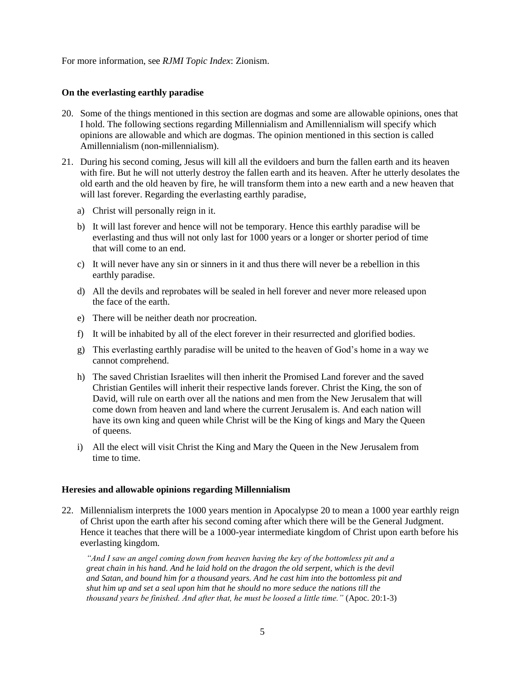For more information, see *RJMI Topic Index*: Zionism.

## <span id="page-4-0"></span>**On the everlasting earthly paradise**

- 20. Some of the things mentioned in this section are dogmas and some are allowable opinions, ones that I hold. The following sections regarding Millennialism and Amillennialism will specify which opinions are allowable and which are dogmas. The opinion mentioned in this section is called Amillennialism (non-millennialism).
- 21. During his second coming, Jesus will kill all the evildoers and burn the fallen earth and its heaven with fire. But he will not utterly destroy the fallen earth and its heaven. After he utterly desolates the old earth and the old heaven by fire, he will transform them into a new earth and a new heaven that will last forever. Regarding the everlasting earthly paradise,
	- a) Christ will personally reign in it.
	- b) It will last forever and hence will not be temporary. Hence this earthly paradise will be everlasting and thus will not only last for 1000 years or a longer or shorter period of time that will come to an end.
	- c) It will never have any sin or sinners in it and thus there will never be a rebellion in this earthly paradise.
	- d) All the devils and reprobates will be sealed in hell forever and never more released upon the face of the earth.
	- e) There will be neither death nor procreation.
	- f) It will be inhabited by all of the elect forever in their resurrected and glorified bodies.
	- g) This everlasting earthly paradise will be united to the heaven of God's home in a way we cannot comprehend.
	- h) The saved Christian Israelites will then inherit the Promised Land forever and the saved Christian Gentiles will inherit their respective lands forever. Christ the King, the son of David, will rule on earth over all the nations and men from the New Jerusalem that will come down from heaven and land where the current Jerusalem is. And each nation will have its own king and queen while Christ will be the King of kings and Mary the Queen of queens.
	- i) All the elect will visit Christ the King and Mary the Queen in the New Jerusalem from time to time.

#### <span id="page-4-1"></span>**Heresies and allowable opinions regarding Millennialism**

22. Millennialism interprets the 1000 years mention in Apocalypse 20 to mean a 1000 year earthly reign of Christ upon the earth after his second coming after which there will be the General Judgment. Hence it teaches that there will be a 1000-year intermediate kingdom of Christ upon earth before his everlasting kingdom.

*"And I saw an angel coming down from heaven having the key of the bottomless pit and a great chain in his hand. And he laid hold on the dragon the old serpent, which is the devil and Satan, and bound him for a thousand years. And he cast him into the bottomless pit and shut him up and set a seal upon him that he should no more seduce the nations till the thousand years be finished. And after that, he must be loosed a little time."* (Apoc. 20:1-3)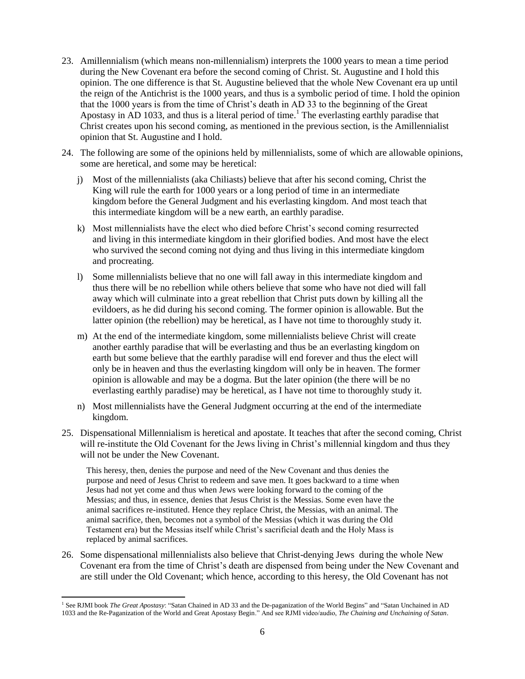- 23. Amillennialism (which means non-millennialism) interprets the 1000 years to mean a time period during the New Covenant era before the second coming of Christ. St. Augustine and I hold this opinion. The one difference is that St. Augustine believed that the whole New Covenant era up until the reign of the Antichrist is the 1000 years, and thus is a symbolic period of time. I hold the opinion that the 1000 years is from the time of Christ's death in AD 33 to the beginning of the Great Apostasy in AD 1033, and thus is a literal period of time. <sup>1</sup> The everlasting earthly paradise that Christ creates upon his second coming, as mentioned in the previous section, is the Amillennialist opinion that St. Augustine and I hold.
- 24. The following are some of the opinions held by millennialists, some of which are allowable opinions, some are heretical, and some may be heretical:
	- j) Most of the millennialists (aka Chiliasts) believe that after his second coming, Christ the King will rule the earth for 1000 years or a long period of time in an intermediate kingdom before the General Judgment and his everlasting kingdom. And most teach that this intermediate kingdom will be a new earth, an earthly paradise.
	- k) Most millennialists have the elect who died before Christ's second coming resurrected and living in this intermediate kingdom in their glorified bodies. And most have the elect who survived the second coming not dying and thus living in this intermediate kingdom and procreating.
	- l) Some millennialists believe that no one will fall away in this intermediate kingdom and thus there will be no rebellion while others believe that some who have not died will fall away which will culminate into a great rebellion that Christ puts down by killing all the evildoers, as he did during his second coming. The former opinion is allowable. But the latter opinion (the rebellion) may be heretical, as I have not time to thoroughly study it.
	- m) At the end of the intermediate kingdom, some millennialists believe Christ will create another earthly paradise that will be everlasting and thus be an everlasting kingdom on earth but some believe that the earthly paradise will end forever and thus the elect will only be in heaven and thus the everlasting kingdom will only be in heaven. The former opinion is allowable and may be a dogma. But the later opinion (the there will be no everlasting earthly paradise) may be heretical, as I have not time to thoroughly study it.
	- n) Most millennialists have the General Judgment occurring at the end of the intermediate kingdom.
- 25. Dispensational Millennialism is heretical and apostate. It teaches that after the second coming, Christ will re-institute the Old Covenant for the Jews living in Christ's millennial kingdom and thus they will not be under the New Covenant.

This heresy, then, denies the purpose and need of the New Covenant and thus denies the purpose and need of Jesus Christ to redeem and save men. It goes backward to a time when Jesus had not yet come and thus when Jews were looking forward to the coming of the Messias; and thus, in essence, denies that Jesus Christ is the Messias. Some even have the animal sacrifices re-instituted. Hence they replace Christ, the Messias, with an animal. The animal sacrifice, then, becomes not a symbol of the Messias (which it was during the Old Testament era) but the Messias itself while Christ's sacrificial death and the Holy Mass is replaced by animal sacrifices.

26. Some dispensational millennialists also believe that Christ-denying Jews during the whole New Covenant era from the time of Christ's death are dispensed from being under the New Covenant and are still under the Old Covenant; which hence, according to this heresy, the Old Covenant has not

l <sup>1</sup> See RJMI book *The Great Apostasy*: "Satan Chained in AD 33 and the De-paganization of the World Begins" and "Satan Unchained in AD 1033 and the Re-Paganization of the World and Great Apostasy Begin." And see RJMI video/audio, *The Chaining and Unchaining of Satan*.